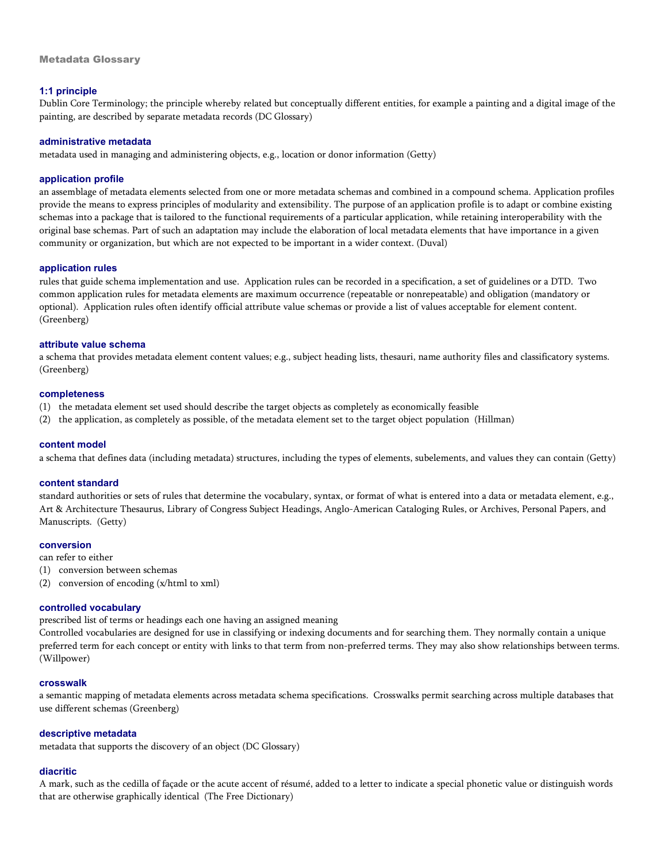# **1:1 principle**

Dublin Core Terminology; the principle whereby related but conceptually different entities, for example a painting and a digital image of the painting, are described by separate metadata records (DC Glossary)

## **administrative metadata**

metadata used in managing and administering objects, e.g., location or donor information (Getty)

## **application profile**

an assemblage of metadata elements selected from one or more metadata schemas and combined in a compound schema. Application profiles provide the means to express principles of modularity and extensibility. The purpose of an application profile is to adapt or combine existing schemas into a package that is tailored to the functional requirements of a particular application, while retaining interoperability with the original base schemas. Part of such an adaptation may include the elaboration of local metadata elements that have importance in a given community or organization, but which are not expected to be important in a wider context. (Duval)

## **application rules**

rules that guide schema implementation and use. Application rules can be recorded in a specification, a set of guidelines or a DTD. Two common application rules for metadata elements are maximum occurrence (repeatable or nonrepeatable) and obligation (mandatory or optional). Application rules often identify official attribute value schemas or provide a list of values acceptable for element content. (Greenberg)

## **attribute value schema**

a schema that provides metadata element content values; e.g., subject heading lists, thesauri, name authority files and classificatory systems. (Greenberg)

#### **completeness**

- (1) the metadata element set used should describe the target objects as completely as economically feasible
- (2) the application, as completely as possible, of the metadata element set to the target object population (Hillman)

#### **content model**

a schema that defines data (including metadata) structures, including the types of elements, subelements, and values they can contain (Getty)

#### **content standard**

standard authorities or sets of rules that determine the vocabulary, syntax, or format of what is entered into a data or metadata element, e.g., Art & Architecture Thesaurus, Library of Congress Subject Headings, Anglo-American Cataloging Rules, or Archives, Personal Papers, and Manuscripts. (Getty)

#### **conversion**

- can refer to either
- (1) conversion between schemas
- (2) conversion of encoding (x/html to xml)

# **controlled vocabulary**

prescribed list of terms or headings each one having an assigned meaning

Controlled vocabularies are designed for use in classifying or indexing documents and for searching them. They normally contain a unique preferred term for each concept or entity with links to that term from non-preferred terms. They may also show relationships between terms. (Willpower)

#### **crosswalk**

a semantic mapping of metadata elements across metadata schema specifications. Crosswalks permit searching across multiple databases that use different schemas (Greenberg)

#### **descriptive metadata**

metadata that supports the discovery of an object (DC Glossary)

# **diacritic**

A mark, such as the cedilla of façade or the acute accent of résumé, added to a letter to indicate a special phonetic value or distinguish words that are otherwise graphically identical (The Free Dictionary)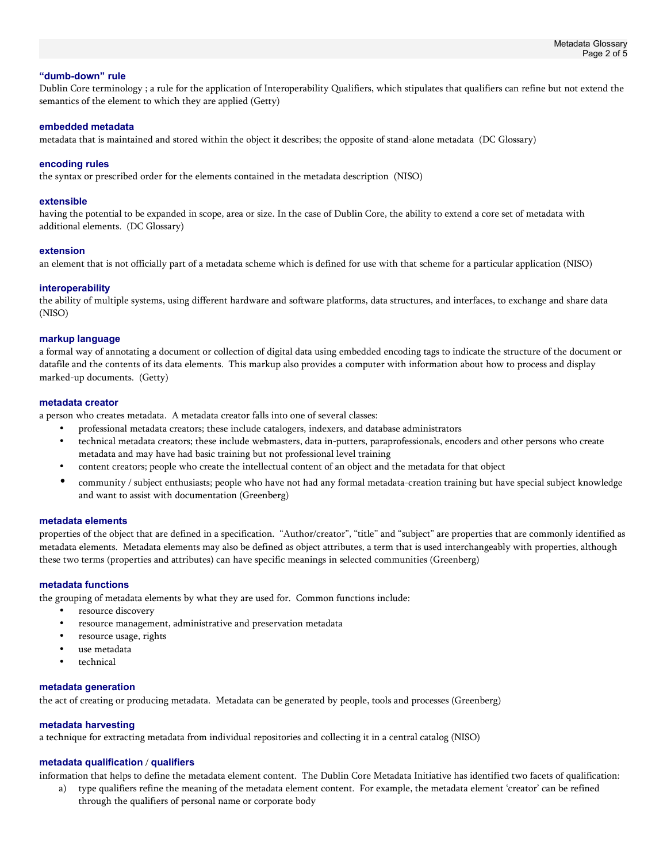### **"dumb-down" rule**

Dublin Core terminology ; a rule for the application of Interoperability Qualifiers, which stipulates that qualifiers can refine but not extend the semantics of the element to which they are applied (Getty)

### **embedded metadata**

metadata that is maintained and stored within the object it describes; the opposite of stand-alone metadata (DC Glossary)

## **encoding rules**

the syntax or prescribed order for the elements contained in the metadata description (NISO)

### **extensible**

having the potential to be expanded in scope, area or size. In the case of Dublin Core, the ability to extend a core set of metadata with additional elements. (DC Glossary)

#### **extension**

an element that is not officially part of a metadata scheme which is defined for use with that scheme for a particular application (NISO)

## **interoperability**

the ability of multiple systems, using different hardware and software platforms, data structures, and interfaces, to exchange and share data (NISO)

#### **markup language**

a formal way of annotating a document or collection of digital data using embedded encoding tags to indicate the structure of the document or datafile and the contents of its data elements. This markup also provides a computer with information about how to process and display marked-up documents. (Getty)

## **metadata creator**

a person who creates metadata. A metadata creator falls into one of several classes:

- professional metadata creators; these include catalogers, indexers, and database administrators
- technical metadata creators; these include webmasters, data in-putters, paraprofessionals, encoders and other persons who create metadata and may have had basic training but not professional level training
- content creators; people who create the intellectual content of an object and the metadata for that object
- community / subject enthusiasts; people who have not had any formal metadata-creation training but have special subject knowledge and want to assist with documentation (Greenberg)

### **metadata elements**

properties of the object that are defined in a specification. "Author/creator", "title" and "subject" are properties that are commonly identified as metadata elements. Metadata elements may also be defined as object attributes, a term that is used interchangeably with properties, although these two terms (properties and attributes) can have specific meanings in selected communities (Greenberg)

## **metadata functions**

the grouping of metadata elements by what they are used for. Common functions include:

- resource discovery
- resource management, administrative and preservation metadata
- resource usage, rights
- use metadata
- technical

# **metadata generation**

the act of creating or producing metadata. Metadata can be generated by people, tools and processes (Greenberg)

# **metadata harvesting**

a technique for extracting metadata from individual repositories and collecting it in a central catalog (NISO)

# **metadata qualification** / **qualifiers**

information that helps to define the metadata element content. The Dublin Core Metadata Initiative has identified two facets of qualification:

a) type qualifiers refine the meaning of the metadata element content. For example, the metadata element 'creator' can be refined through the qualifiers of personal name or corporate body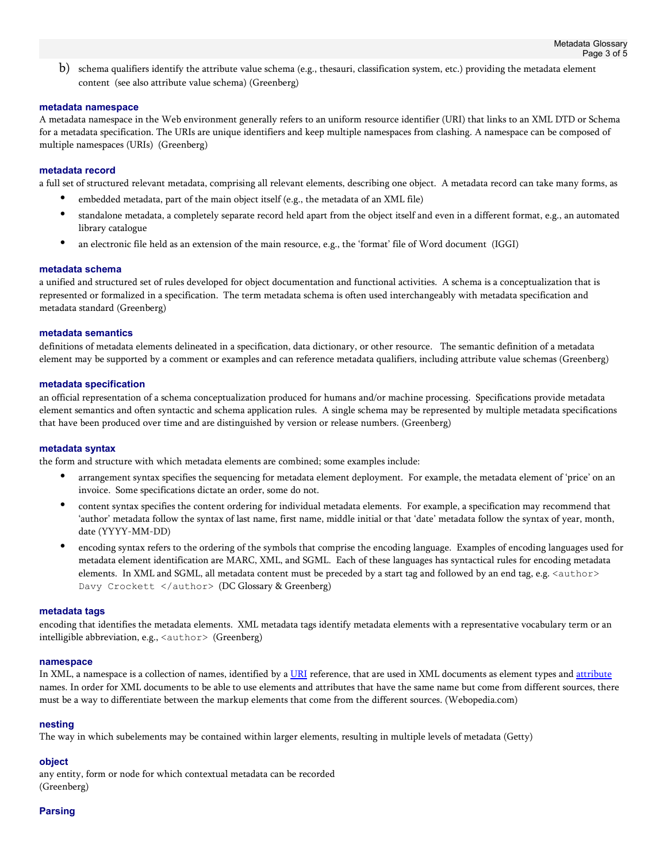b) schema qualifiers identify the attribute value schema (e.g., thesauri, classification system, etc.) providing the metadata element content (see also attribute value schema) (Greenberg)

## **metadata namespace**

A metadata namespace in the Web environment generally refers to an uniform resource identifier (URI) that links to an XML DTD or Schema for a metadata specification. The URIs are unique identifiers and keep multiple namespaces from clashing. A namespace can be composed of multiple namespaces (URIs) (Greenberg)

## **metadata record**

a full set of structured relevant metadata, comprising all relevant elements, describing one object. A metadata record can take many forms, as

- embedded metadata, part of the main object itself (e.g., the metadata of an XML file)
- standalone metadata, a completely separate record held apart from the object itself and even in a different format, e.g., an automated library catalogue
- an electronic file held as an extension of the main resource, e.g., the 'format' file of Word document (IGGI)

#### **metadata schema**

a unified and structured set of rules developed for object documentation and functional activities. A schema is a conceptualization that is represented or formalized in a specification. The term metadata schema is often used interchangeably with metadata specification and metadata standard (Greenberg)

## **metadata semantics**

definitions of metadata elements delineated in a specification, data dictionary, or other resource. The semantic definition of a metadata element may be supported by a comment or examples and can reference metadata qualifiers, including attribute value schemas (Greenberg)

## **metadata specification**

an official representation of a schema conceptualization produced for humans and/or machine processing. Specifications provide metadata element semantics and often syntactic and schema application rules. A single schema may be represented by multiple metadata specifications that have been produced over time and are distinguished by version or release numbers. (Greenberg)

#### **metadata syntax**

the form and structure with which metadata elements are combined; some examples include:

- arrangement syntax specifies the sequencing for metadata element deployment. For example, the metadata element of 'price' on an invoice. Some specifications dictate an order, some do not.
- content syntax specifies the content ordering for individual metadata elements. For example, a specification may recommend that 'author' metadata follow the syntax of last name, first name, middle initial or that 'date' metadata follow the syntax of year, month, date (YYYY-MM-DD)
- encoding syntax refers to the ordering of the symbols that comprise the encoding language. Examples of encoding languages used for metadata element identification are MARC, XML, and SGML. Each of these languages has syntactical rules for encoding metadata elements. In XML and SGML, all metadata content must be preceded by a start tag and followed by an end tag, e.g. <author> Davy Crockett </author> (DC Glossary & Greenberg)

#### **metadata tags**

encoding that identifies the metadata elements. XML metadata tags identify metadata elements with a representative vocabulary term or an intelligible abbreviation, e.g., <author> (Greenberg)

#### **namespace**

In XML, a namespace is a collection of names, identified by a URI reference, that are used in XML documents as element types and attribute names. In order for XML documents to be able to use elements and attributes that have the same name but come from different sources, there must be a way to differentiate between the markup elements that come from the different sources. (Webopedia.com)

#### **nesting**

The way in which subelements may be contained within larger elements, resulting in multiple levels of metadata (Getty)

# **object**

any entity, form or node for which contextual metadata can be recorded (Greenberg)

# **Parsing**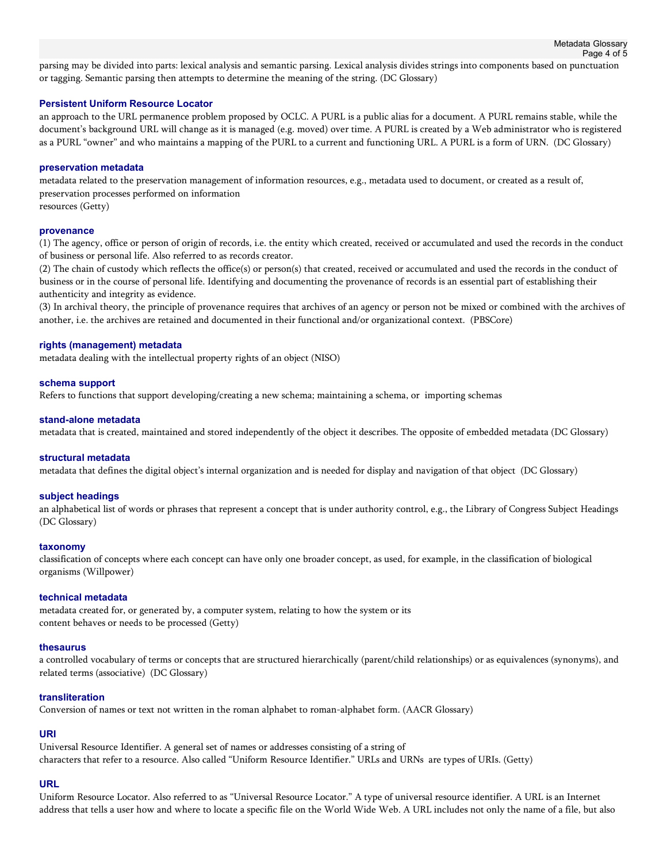parsing may be divided into parts: lexical analysis and semantic parsing. Lexical analysis divides strings into components based on punctuation or tagging. Semantic parsing then attempts to determine the meaning of the string. (DC Glossary)

## **Persistent Uniform Resource Locator**

an approach to the URL permanence problem proposed by OCLC. A PURL is a public alias for a document. A PURL remains stable, while the document's background URL will change as it is managed (e.g. moved) over time. A PURL is created by a Web administrator who is registered as a PURL "owner" and who maintains a mapping of the PURL to a current and functioning URL. A PURL is a form of URN. (DC Glossary)

### **preservation metadata**

metadata related to the preservation management of information resources, e.g., metadata used to document, or created as a result of, preservation processes performed on information resources (Getty)

## **provenance**

(1) The agency, office or person of origin of records, i.e. the entity which created, received or accumulated and used the records in the conduct of business or personal life. Also referred to as records creator.

(2) The chain of custody which reflects the office(s) or person(s) that created, received or accumulated and used the records in the conduct of business or in the course of personal life. Identifying and documenting the provenance of records is an essential part of establishing their authenticity and integrity as evidence.

(3) In archival theory, the principle of provenance requires that archives of an agency or person not be mixed or combined with the archives of another, i.e. the archives are retained and documented in their functional and/or organizational context. (PBSCore)

## **rights (management) metadata**

metadata dealing with the intellectual property rights of an object (NISO)

## **schema support**

Refers to functions that support developing/creating a new schema; maintaining a schema, or importing schemas

## **stand-alone metadata**

metadata that is created, maintained and stored independently of the object it describes. The opposite of embedded metadata (DC Glossary)

#### **structural metadata**

metadata that defines the digital object's internal organization and is needed for display and navigation of that object (DC Glossary)

# **subject headings**

an alphabetical list of words or phrases that represent a concept that is under authority control, e.g., the Library of Congress Subject Headings (DC Glossary)

#### **taxonomy**

classification of concepts where each concept can have only one broader concept, as used, for example, in the classification of biological organisms (Willpower)

#### **technical metadata**

metadata created for, or generated by, a computer system, relating to how the system or its content behaves or needs to be processed (Getty)

### **thesaurus**

a controlled vocabulary of terms or concepts that are structured hierarchically (parent/child relationships) or as equivalences (synonyms), and related terms (associative) (DC Glossary)

#### **transliteration**

Conversion of names or text not written in the roman alphabet to roman-alphabet form. (AACR Glossary)

# **URI**

Universal Resource Identifier. A general set of names or addresses consisting of a string of characters that refer to a resource. Also called "Uniform Resource Identifier." URLs and URNs are types of URIs. (Getty)

# **URL**

Uniform Resource Locator. Also referred to as "Universal Resource Locator." A type of universal resource identifier. A URL is an Internet address that tells a user how and where to locate a specific file on the World Wide Web. A URL includes not only the name of a file, but also